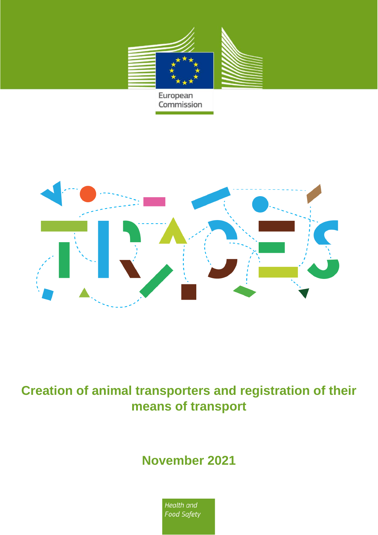



## **Creation of animal transporters and registration of their means of transport**

## **November 2021**

Health and **Food Safety**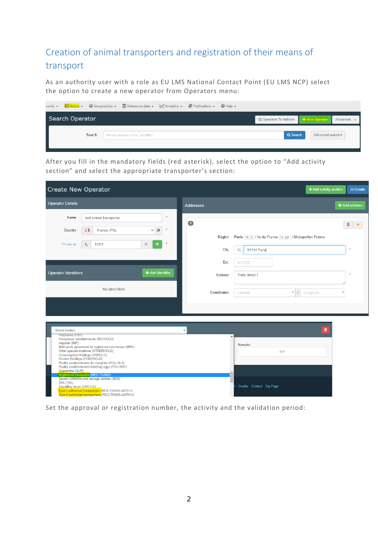## Creation of animal transporters and registration of their means of transport

As an authority user with a role as EU LMS National Contact Point (EU LMS NCP) select the option to create a new operator from Operators menu:

|                        |         | ioards → <b>BE Actors → C</b> Geographics → B Reference data → M Analytics → B Publications → C Help → |  |                                                                    |                   |  |
|------------------------|---------|--------------------------------------------------------------------------------------------------------|--|--------------------------------------------------------------------|-------------------|--|
| <b>Search Operator</b> |         |                                                                                                        |  | Q Operators To Validate <b>Contains To New Operator</b> Advanced - |                   |  |
|                        | Search: | Please provide name, identifier                                                                        |  | Q Search                                                           | Advanced search ▶ |  |
|                        |         |                                                                                                        |  |                                                                    |                   |  |

After you fill in the mandatory fields (red asterisk), select the option to "Add activity section" and select the appropriate transporter's section:

| <b>Create New Operator</b>                                                                                                        |                                                                                                                                                                                                                                                                                                                                                                                                                                                                                                                  |                              |                        | + Add activity section                                                                     | <b>△ Create</b>      |
|-----------------------------------------------------------------------------------------------------------------------------------|------------------------------------------------------------------------------------------------------------------------------------------------------------------------------------------------------------------------------------------------------------------------------------------------------------------------------------------------------------------------------------------------------------------------------------------------------------------------------------------------------------------|------------------------------|------------------------|--------------------------------------------------------------------------------------------|----------------------|
| <b>Operator Details</b>                                                                                                           |                                                                                                                                                                                                                                                                                                                                                                                                                                                                                                                  |                              | Addresses              |                                                                                            | <b>← Add address</b> |
| Name<br>Country                                                                                                                   | test animal transporter<br><b>II</b><br>France (FR)                                                                                                                                                                                                                                                                                                                                                                                                                                                              | $\circ$<br>$\checkmark$<br>大 | $\bullet$              |                                                                                            | 畵<br>$\star$         |
| Phone $\blacktriangleright$                                                                                                       | 11111<br>J                                                                                                                                                                                                                                                                                                                                                                                                                                                                                                       | ☆<br>×                       | Region<br>City         | Paris FR-75 / Ile-de-France FR-IDF / Metropolitan France<br>$\Omega$<br><b>91744 Paris</b> | $\star$              |
| <b>Operator Identifiers</b>                                                                                                       |                                                                                                                                                                                                                                                                                                                                                                                                                                                                                                                  | + Add Identifier             | Ext.<br><b>Address</b> | $[A-Z]\{2\}$<br>Paris street 1                                                             |                      |
|                                                                                                                                   | No identifiers                                                                                                                                                                                                                                                                                                                                                                                                                                                                                                   |                              | Coordinates            | $\bullet$<br>$\left  \right $<br>Longitude<br>Latitude                                     | $\circ$              |
| <b>Select Section</b><br><b>Hatcheries (HAT)</b><br>Importer (IMP)<br>Quarantine (QUR)<br>TPA (TPA)<br>Travelling circus (CIRCUS) | Honeybees establishments (BEEHOLD)<br>Multi-party agreement for registered race horses (MPA)<br>Other species locations (OTHERHOLD)<br>Ovine/caprine Holdings (OVHOLD)<br>Porcine Holdings (PORCHOLD)<br>Poultry establishments for slaughter (POU-SLA)<br>Poultry establishments hatching eggs (POU-HAT)<br><b>Registered transporter (REG-TRANS)</b><br>Semen collection and storage centres (SEM)<br>Type I authorised transporters (REG-TRANS-AUTH-I)<br>Type II authorised transporters (REG-TRANS-AUTH-II) |                              | $\checkmark$           | $\hat{\mathbf{u}}$<br>Remarks<br>N/A<br>Credits Contact Top Page                           |                      |

Set the approval or registration number, the activity and the validation period: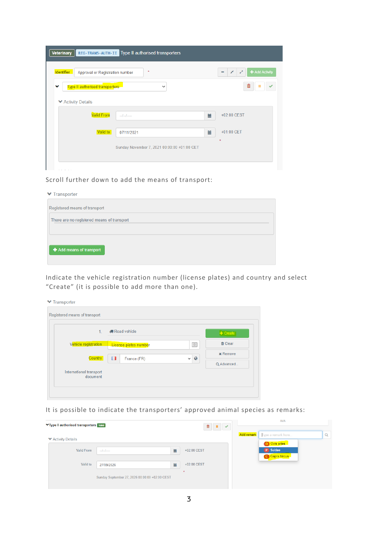| <b>Veterinary</b>                                    | REG-TRANS-AUTH-II Type II authorised transporters |                                                                          |
|------------------------------------------------------|---------------------------------------------------|--------------------------------------------------------------------------|
| <b>Identifier</b><br>Approval or Registration number | $\star$                                           | + Add Activity<br>$\mathbf{x}^{\mathbf{c}}$<br>$\mathbf{z}^{\mathbf{z}}$ |
| <b>Type II authorised transporters</b><br>v          | $\checkmark$                                      | 畵<br>ш<br>$\checkmark$                                                   |
| <b>▼ Activity Details</b>                            |                                                   |                                                                          |
| <b>Valid From</b>                                    |                                                   | +02:00 CEST<br>篇                                                         |
| Valid to                                             | 07/11/2021                                        | 篇<br>+01:00 CET                                                          |
|                                                      | Sunday November 7, 2021 00:00:00 +01:00 CET       |                                                                          |
|                                                      |                                                   |                                                                          |

Scroll further down to add the means of transport:

Indicate the vehicle registration number (license plates) and country and select "Create" (it is possible to add more than one).

| Registered means of transport       |                       |                                  |                 |
|-------------------------------------|-----------------------|----------------------------------|-----------------|
| 1 <sub>1</sub>                      | <b>#Road vehicle</b>  |                                  | $+$ Create      |
| Vehicle registration                | License plates number | $\vert 0 \vert$                  | <b>茴 Clear</b>  |
| Country                             | Ш<br>France (FR)      | $\boldsymbol{Q}$<br>$\checkmark$ | <b>x</b> Remove |
|                                     |                       |                                  | Q Advanced      |
| International transport<br>document |                       |                                  |                 |

It is possible to indicate the transporters' approved animal species as remarks:

| ▼Type II authorised transporters valid |                                                |   | <b>N/A</b>  |                   |                          |          |
|----------------------------------------|------------------------------------------------|---|-------------|-------------------|--------------------------|----------|
| <b>▼ Activity Details</b>              |                                                |   |             | <b>Add remark</b> | Type a remark here       | $\alpha$ |
| <b>Valid From</b>                      |                                                | 篇 | +02:00 CEST |                   | O Ovis aries<br>P Suidae |          |
| Valid to                               | 27/09/2026                                     | 篇 | +02:00 CEST |                   | C Capra hircus           |          |
|                                        |                                                |   | $\ast$      |                   |                          |          |
|                                        | Sunday September 27, 2026 00:00:00 +02:00 CEST |   |             |                   |                          |          |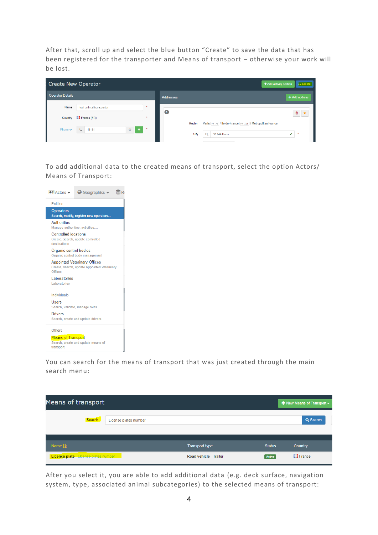After that, scroll up and select the blue button "Create" to save the data that has been registered for the transporter and Means of transport – otherwise your work will be lost.

| <b>Create New Operator</b>                                                                |                  | + Add activity section<br><b>A</b> Create                                                                                       |
|-------------------------------------------------------------------------------------------|------------------|---------------------------------------------------------------------------------------------------------------------------------|
| <b>Operator Details</b>                                                                   | <b>Addresses</b> | + Add address                                                                                                                   |
| $\star$<br>Name<br>test animal transporter<br><b>II</b> France (FR)<br>$\star$<br>Country | $\blacksquare$   | 亩 ★                                                                                                                             |
| ☆<br>$\ddot{}$<br>Phone $\vee$<br>大<br>11111<br>L                                         | Region<br>City   | Paris FR-75 / Ile-de-France FR-IDF / Metropolitan France<br>$\alpha$<br>91744 Paris<br>$\overline{\phantom{a}}$<br>$\checkmark$ |

To add additional data to the created means of transport, select the option Actors/ Means of Transport:



You can search for the means of transport that was just created through the main search menu:

| Means of transport                    |                       |                        |               | $\bigstar$ New Means of Transport $\bigstar$ |
|---------------------------------------|-----------------------|------------------------|---------------|----------------------------------------------|
| Search:                               | License plates number |                        |               | Q Search                                     |
| Name $1\frac{A}{Z}$                   |                       | <b>Transport type</b>  | <b>Status</b> | Country                                      |
| Licence plate - License plates number |                       | Road vehicle - Trailer | Active        | <b>I</b> France                              |

After you select it, you are able to add additional data (e.g. deck surface, navigation system, type, associated animal subcategories) to the selected means of transport: